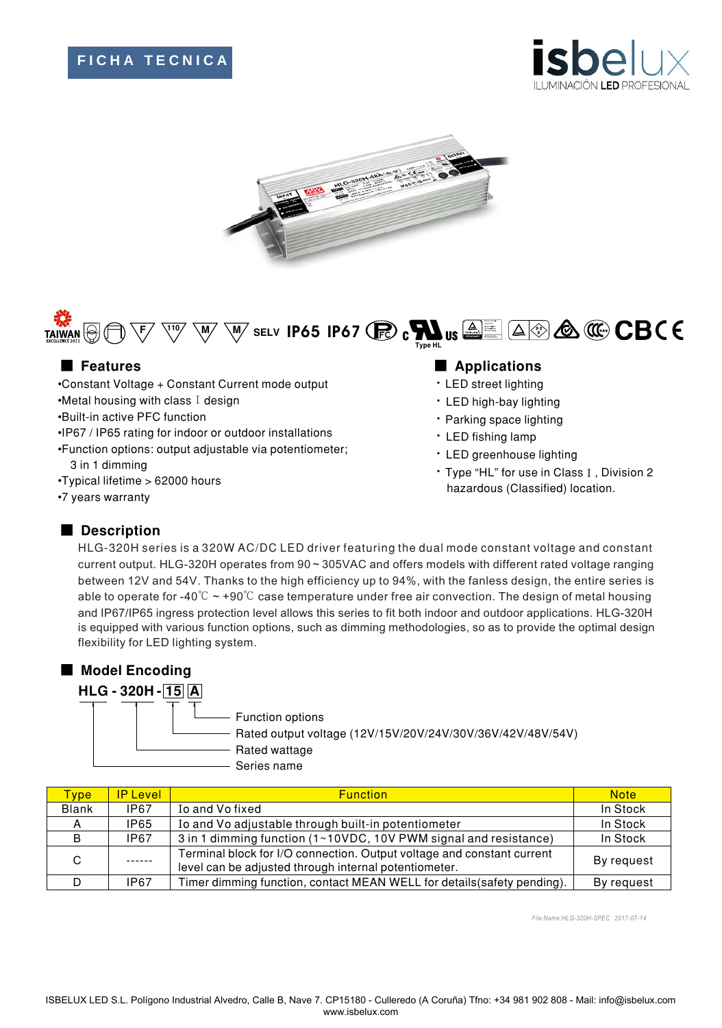# **F I C H A T E C N I C A**





#### A & C CBCE ELV  $\overline{\phantom{a}}$  **IP65** IP67 $\overline{\phantom{a}}$   $\overline{\phantom{a}}$   $\overline{\phantom{a}}$   $\overline{\phantom{a}}$   $\overline{\phantom{a}}$   $\overline{\phantom{a}}$   $\overline{\phantom{a}}$   $\overline{\phantom{a}}$   $\overline{\phantom{a}}$   $\overline{\phantom{a}}$   $\overline{\phantom{a}}$   $\overline{\phantom{a}}$   $\overline{\phantom{a}}$   $\overline{\phantom{a}}$   $\overline{\phantom{a}}$   $\overline{\phantom{a}}$   $\$ **Type HL**

- •Constant Voltage + Constant Current mode output
- $\cdot$ Metal housing with class I design
- •Built-in active PFC function
- ·IP67 / IP65 rating for indoor or outdoor installations
- •Function options: output adjustable via potentiometer; 3 in 1 dimming
- •Typical lifetime > 62000 hours
- •7 years warranty

## ■ Features **■ Particle and Particle and Particle and Particle and Particle and Particle and Particle and Particle and Particle and Particle and Particle and Particle and Particle and Particle and Particle and Particle and**

- LED street lighting
- · LED high-bay lighting
- · Parking space lighting
- · LED fishing lamp
- LED greenhouse lighting
- Type "HL" for use in Class I, Division 2 hazardous (Classified) location.

### Description

HLG-320H series is a 320W AC/DC LED driver featuring the dual mode constant voltage and constant current output. HLG-320H operates from 90 ~ 305VAC and offers models with different rated voltage ranging between 12V and 54V. Thanks to the high efficiency up to 94%, with the fanless design, the entire series is able to operate for -40 $\degree$ C  $\sim$  +90 $\degree$ C case temperature under free air convection. The design of metal housing and IP67/IP65 ingress protection level allows this series to fit both indoor and outdoor applications. HLG-320H is equipped with various function options, such as dimming methodologies, so as to provide the optimal design flexibility for LED lighting system.



Series name

| Type:        | <b>IP Level</b> | <b>Function</b>                                                                                                                 | <b>Note</b> |
|--------------|-----------------|---------------------------------------------------------------------------------------------------------------------------------|-------------|
| <b>Blank</b> | IP67            | Io and Vo fixed                                                                                                                 | In Stock    |
|              | IP65            | Io and Vo adjustable through built-in potentiometer                                                                             | In Stock    |
| B            | <b>IP67</b>     | 3 in 1 dimming function (1~10VDC, 10V PWM signal and resistance)                                                                | In Stock    |
| C.           |                 | Terminal block for I/O connection. Output voltage and constant current<br>level can be adjusted through internal potentiometer. | By request  |
|              | IP67            | Timer dimming function, contact MEAN WELL for details (safety pending).                                                         | By request  |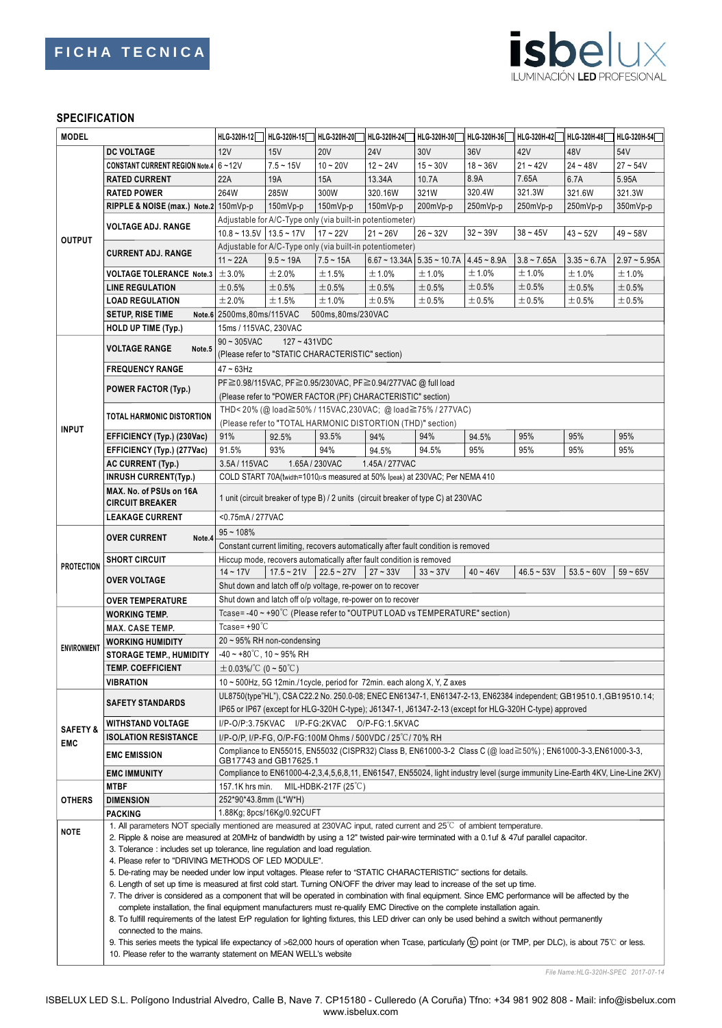

#### **SPECIFICATION**

| <b>MODEL</b>        |                                                                                                                                          | HLG-320H-12                                                                                                                                                                                                                                                                       | HLG-320H-15                | HLG-320H-20                   | HLG-320H-24                                                          | HLG-320H-30                                                                 | HLG-320H-36 | HLG-320H-42   | HLG-320H-48   | HLG-320H-54    |
|---------------------|------------------------------------------------------------------------------------------------------------------------------------------|-----------------------------------------------------------------------------------------------------------------------------------------------------------------------------------------------------------------------------------------------------------------------------------|----------------------------|-------------------------------|----------------------------------------------------------------------|-----------------------------------------------------------------------------|-------------|---------------|---------------|----------------|
|                     | <b>DC VOLTAGE</b>                                                                                                                        | 12V                                                                                                                                                                                                                                                                               | 15V                        | <b>20V</b>                    | <b>24V</b>                                                           | 30V                                                                         | 36V         | 42V           | 48V           | 54V            |
| <b>OUTPUT</b>       | CONSTANT CURRENT REGION Note.4 6~12V                                                                                                     |                                                                                                                                                                                                                                                                                   | $7.5 - 15V$                | $10 - 20V$                    | $12 - 24V$                                                           | $15 - 30V$                                                                  | $18 - 36V$  | $21 - 42V$    | $24 - 48V$    | $27 - 54V$     |
|                     | <b>RATED CURRENT</b>                                                                                                                     | 22A                                                                                                                                                                                                                                                                               | 19A                        | 15A                           | 13.34A                                                               | 10.7A                                                                       | 8.9A        | 7.65A         | 6.7A          | 5.95A          |
|                     | <b>RATED POWER</b>                                                                                                                       | 264W                                                                                                                                                                                                                                                                              | 285W                       | 300W                          | 320.16W                                                              | 321W                                                                        | 320.4W      | 321.3W        | 321.6W        | 321.3W         |
|                     | RIPPLE & NOISE (max.) Note.2 150mVp-p                                                                                                    |                                                                                                                                                                                                                                                                                   | $150mVp-p$                 | 150mVp-p                      | $150mVp-p$                                                           | 200mVp-p                                                                    | 250mVp-p    | 250mVp-p      | 250mVp-p      | 350mVp-p       |
|                     |                                                                                                                                          |                                                                                                                                                                                                                                                                                   |                            |                               | Adjustable for A/C-Type only (via built-in potentiometer)            |                                                                             |             |               |               |                |
|                     | <b>VOLTAGE ADJ. RANGE</b>                                                                                                                | $10.8 \sim 13.5V$ 13.5 ~ 17V                                                                                                                                                                                                                                                      |                            | $17 - 22V$                    | $21 - 26V$                                                           | $26 - 32V$                                                                  | $32 - 39V$  | $38 - 45V$    | $43 - 52V$    | $49 - 58V$     |
|                     |                                                                                                                                          |                                                                                                                                                                                                                                                                                   |                            |                               | Adjustable for A/C-Type only (via built-in potentiometer)            |                                                                             |             |               |               |                |
|                     | <b>CURRENT ADJ. RANGE</b>                                                                                                                | $11 - 22A$                                                                                                                                                                                                                                                                        | $9.5 - 19A$                | $7.5 - 15A$                   |                                                                      | $6.67 \approx 13.34$ A $\mid 5.35 \approx 10.7$ A $\mid 4.45 \approx 8.9$ A |             | $3.8 - 7.65A$ | $3.35 - 6.7A$ | $2.97 - 5.95A$ |
|                     | <b>VOLTAGE TOLERANCE Note.3</b>                                                                                                          | $\pm$ 3.0%                                                                                                                                                                                                                                                                        | ±2.0%                      | ±1.5%                         | ±1.0%                                                                | ±1.0%                                                                       | ±1.0%       | ±1.0%         | ±1.0%         | ±1.0%          |
|                     | <b>LINE REGULATION</b>                                                                                                                   | ±0.5%                                                                                                                                                                                                                                                                             | $\pm 0.5\%$                | ±0.5%                         | ±0.5%                                                                | ±0.5%                                                                       | ±0.5%       | ±0.5%         | ±0.5%         | ±0.5%          |
|                     | <b>LOAD REGULATION</b>                                                                                                                   | ±2.0%                                                                                                                                                                                                                                                                             | ±1.5%                      | ±1.0%                         | ±0.5%                                                                | ±0.5%                                                                       | ±0.5%       | ±0.5%         | $\pm 0.5\%$   | ±0.5%          |
|                     | <b>SETUP, RISE TIME</b>                                                                                                                  | Note.6 2500ms, 80ms/115VAC                                                                                                                                                                                                                                                        |                            | 500ms,80ms/230VAC             |                                                                      |                                                                             |             |               |               |                |
|                     | HOLD UP TIME (Typ.)                                                                                                                      |                                                                                                                                                                                                                                                                                   |                            |                               |                                                                      |                                                                             |             |               |               |                |
|                     |                                                                                                                                          | 15ms / 115VAC, 230VAC                                                                                                                                                                                                                                                             |                            |                               |                                                                      |                                                                             |             |               |               |                |
|                     | <b>VOLTAGE RANGE</b><br>Note.5                                                                                                           | $90 \sim 305$ VAC<br>$127 - 431VDC$                                                                                                                                                                                                                                               |                            |                               |                                                                      |                                                                             |             |               |               |                |
|                     |                                                                                                                                          | (Please refer to "STATIC CHARACTERISTIC" section)                                                                                                                                                                                                                                 |                            |                               |                                                                      |                                                                             |             |               |               |                |
|                     | <b>FREQUENCY RANGE</b>                                                                                                                   | $47 \sim 63$ Hz                                                                                                                                                                                                                                                                   |                            |                               |                                                                      |                                                                             |             |               |               |                |
|                     | <b>POWER FACTOR (Typ.)</b>                                                                                                               | PF ≥ 0.98/115VAC, PF ≥ 0.95/230VAC, PF ≥ 0.94/277VAC @ full load                                                                                                                                                                                                                  |                            |                               |                                                                      |                                                                             |             |               |               |                |
|                     |                                                                                                                                          | (Please refer to "POWER FACTOR (PF) CHARACTERISTIC" section)<br>THD<20% (@ load≧50% / 115VAC, 230VAC; @ load≧75% / 277VAC)                                                                                                                                                        |                            |                               |                                                                      |                                                                             |             |               |               |                |
|                     | TOTAL HARMONIC DISTORTION                                                                                                                |                                                                                                                                                                                                                                                                                   |                            |                               |                                                                      |                                                                             |             |               |               |                |
| <b>INPUT</b>        |                                                                                                                                          |                                                                                                                                                                                                                                                                                   |                            |                               | (Please refer to "TOTAL HARMONIC DISTORTION (THD)" section)          |                                                                             |             |               |               |                |
|                     | EFFICIENCY (Typ.) (230Vac)                                                                                                               | 91%                                                                                                                                                                                                                                                                               | 92.5%                      | 93.5%                         | 94%                                                                  | 94%                                                                         | 94.5%       | 95%           | 95%           | 95%            |
|                     | EFFICIENCY (Typ.) (277Vac)                                                                                                               | 91.5%                                                                                                                                                                                                                                                                             | 93%                        | 94%                           | 94.5%                                                                | 94.5%                                                                       | 95%         | 95%           | 95%           | 95%            |
|                     | AC CURRENT (Typ.)                                                                                                                        | 3.5A/115VAC                                                                                                                                                                                                                                                                       |                            | 1.65A / 230VAC                | 1.45A / 277VAC                                                       |                                                                             |             |               |               |                |
|                     | <b>INRUSH CURRENT(Typ.)</b>                                                                                                              | COLD START 70A(twidth=1010µs measured at 50% Ipeak) at 230VAC; Per NEMA 410                                                                                                                                                                                                       |                            |                               |                                                                      |                                                                             |             |               |               |                |
|                     | MAX. No. of PSUs on 16A                                                                                                                  | 1 unit (circuit breaker of type B) / 2 units (circuit breaker of type C) at 230VAC                                                                                                                                                                                                |                            |                               |                                                                      |                                                                             |             |               |               |                |
|                     | <b>CIRCUIT BREAKER</b>                                                                                                                   |                                                                                                                                                                                                                                                                                   |                            |                               |                                                                      |                                                                             |             |               |               |                |
|                     | <b>LEAKAGE CURRENT</b>                                                                                                                   | <0.75mA / 277VAC                                                                                                                                                                                                                                                                  |                            |                               |                                                                      |                                                                             |             |               |               |                |
|                     | <b>OVER CURRENT</b><br>Note.4                                                                                                            | $95 - 108%$                                                                                                                                                                                                                                                                       |                            |                               |                                                                      |                                                                             |             |               |               |                |
| <b>PROTECTION</b>   |                                                                                                                                          | Constant current limiting, recovers automatically after fault condition is removed                                                                                                                                                                                                |                            |                               |                                                                      |                                                                             |             |               |               |                |
|                     | <b>SHORT CIRCUIT</b>                                                                                                                     |                                                                                                                                                                                                                                                                                   |                            |                               | Hiccup mode, recovers automatically after fault condition is removed |                                                                             |             |               |               |                |
|                     | <b>OVER VOLTAGE</b>                                                                                                                      | $14 - 17V$                                                                                                                                                                                                                                                                        | $17.5 - 21V$               | $22.5 - 27V$                  | $27 - 33V$                                                           | $33 - 37V$                                                                  | $40 - 46V$  | $46.5 - 53V$  | $53.5 - 60V$  | $59 - 65V$     |
|                     |                                                                                                                                          | Shut down and latch off o/p voltage, re-power on to recover                                                                                                                                                                                                                       |                            |                               |                                                                      |                                                                             |             |               |               |                |
|                     | <b>OVER TEMPERATURE</b>                                                                                                                  | Shut down and latch off o/p voltage, re-power on to recover<br>Tcase=-40~+90°C (Please refer to "OUTPUT LOAD vs TEMPERATURE" section)                                                                                                                                             |                            |                               |                                                                      |                                                                             |             |               |               |                |
|                     | <b>WORKING TEMP.</b>                                                                                                                     |                                                                                                                                                                                                                                                                                   |                            |                               |                                                                      |                                                                             |             |               |               |                |
|                     | <b>MAX. CASE TEMP.</b>                                                                                                                   | Tcase= $+90^{\circ}$ C                                                                                                                                                                                                                                                            |                            |                               |                                                                      |                                                                             |             |               |               |                |
| <b>ENVIRONMENT</b>  | <b>WORKING HUMIDITY</b>                                                                                                                  | $20 \sim 95\%$ RH non-condensing                                                                                                                                                                                                                                                  |                            |                               |                                                                      |                                                                             |             |               |               |                |
|                     | <b>STORAGE TEMP., HUMIDITY</b>                                                                                                           | $-40 \sim +80^{\circ}$ C, 10 ~ 95% RH                                                                                                                                                                                                                                             |                            |                               |                                                                      |                                                                             |             |               |               |                |
|                     | TEMP. COEFFICIENT                                                                                                                        | $\pm$ 0.03%/°C (0 ~ 50°C)                                                                                                                                                                                                                                                         |                            |                               |                                                                      |                                                                             |             |               |               |                |
|                     | <b>VIBRATION</b>                                                                                                                         | 10 $\sim$ 500Hz, 5G 12min./1 cycle, period for 72min. each along X, Y, Z axes                                                                                                                                                                                                     |                            |                               |                                                                      |                                                                             |             |               |               |                |
|                     | <b>SAFETY STANDARDS</b>                                                                                                                  | UL8750(type"HL"), CSA C22.2 No. 250.0-08; ENEC EN61347-1, EN61347-2-13, EN62384 independent; GB19510.1, GB19510.14;                                                                                                                                                               |                            |                               |                                                                      |                                                                             |             |               |               |                |
|                     |                                                                                                                                          | IP65 or IP67 (except for HLG-320H C-type); J61347-1, J61347-2-13 (except for HLG-320H C-type) approved                                                                                                                                                                            |                            |                               |                                                                      |                                                                             |             |               |               |                |
| <b>SAFETY &amp;</b> | <b>WITHSTAND VOLTAGE</b>                                                                                                                 | I/P-O/P:3.75KVAC I/P-FG:2KVAC O/P-FG:1.5KVAC                                                                                                                                                                                                                                      |                            |                               |                                                                      |                                                                             |             |               |               |                |
| EMC                 | <b>ISOLATION RESISTANCE</b>                                                                                                              | I/P-O/P, I/P-FG, O/P-FG:100M Ohms / 500VDC / 25 °C/ 70% RH                                                                                                                                                                                                                        |                            |                               |                                                                      |                                                                             |             |               |               |                |
|                     | <b>EMC EMISSION</b>                                                                                                                      | Compliance to EN55015, EN55032 (CISPR32) Class B, EN61000-3-2 Class C (@ load≧50%) ; EN61000-3-3, EN61000-3-3,                                                                                                                                                                    |                            |                               |                                                                      |                                                                             |             |               |               |                |
|                     | <b>EMC IMMUNITY</b>                                                                                                                      | GB17743 and GB17625.1<br>Compliance to EN61000-4-2,3,4,5,6,8,11, EN61547, EN55024, light industry level (surge immunity Line-Earth 4KV, Line-Line 2KV)                                                                                                                            |                            |                               |                                                                      |                                                                             |             |               |               |                |
| OTHERS              | <b>MTBF</b>                                                                                                                              | 157.1K hrs min.                                                                                                                                                                                                                                                                   |                            | MIL-HDBK-217F $(25^{\circ}C)$ |                                                                      |                                                                             |             |               |               |                |
|                     | <b>DIMENSION</b>                                                                                                                         | 252*90*43.8mm (L*W*H)                                                                                                                                                                                                                                                             |                            |                               |                                                                      |                                                                             |             |               |               |                |
|                     | <b>PACKING</b>                                                                                                                           |                                                                                                                                                                                                                                                                                   | 1.88Kg; 8pcs/16Kg/0.92CUFT |                               |                                                                      |                                                                             |             |               |               |                |
|                     | 1. All parameters NOT specially mentioned are measured at 230VAC input, rated current and 25°C of ambient temperature.                   |                                                                                                                                                                                                                                                                                   |                            |                               |                                                                      |                                                                             |             |               |               |                |
| NOTE                | 2. Ripple & noise are measured at 20MHz of bandwidth by using a 12" twisted pair-wire terminated with a 0.1uf & 47uf parallel capacitor. |                                                                                                                                                                                                                                                                                   |                            |                               |                                                                      |                                                                             |             |               |               |                |
|                     |                                                                                                                                          | 3. Tolerance : includes set up tolerance, line regulation and load regulation.                                                                                                                                                                                                    |                            |                               |                                                                      |                                                                             |             |               |               |                |
|                     |                                                                                                                                          | 4. Please refer to "DRIVING METHODS OF LED MODULE".                                                                                                                                                                                                                               |                            |                               |                                                                      |                                                                             |             |               |               |                |
|                     | 5. De-rating may be needed under low input voltages. Please refer to "STATIC CHARACTERISTIC" sections for details.                       |                                                                                                                                                                                                                                                                                   |                            |                               |                                                                      |                                                                             |             |               |               |                |
|                     | 6. Length of set up time is measured at first cold start. Turning ON/OFF the driver may lead to increase of the set up time.             |                                                                                                                                                                                                                                                                                   |                            |                               |                                                                      |                                                                             |             |               |               |                |
|                     |                                                                                                                                          | 7. The driver is considered as a component that will be operated in combination with final equipment. Since EMC performance will be affected by the                                                                                                                               |                            |                               |                                                                      |                                                                             |             |               |               |                |
|                     |                                                                                                                                          | complete installation, the final equipment manufacturers must re-qualify EMC Directive on the complete installation again.<br>8. To fulfill requirements of the latest ErP regulation for lighting fixtures, this LED driver can only be used behind a switch without permanently |                            |                               |                                                                      |                                                                             |             |               |               |                |
|                     | connected to the mains.                                                                                                                  |                                                                                                                                                                                                                                                                                   |                            |                               |                                                                      |                                                                             |             |               |               |                |
|                     |                                                                                                                                          | 9. This series meets the typical life expectancy of >62,000 hours of operation when Tcase, particularly (tc) point (or TMP, per DLC), is about 75℃ or less.                                                                                                                       |                            |                               |                                                                      |                                                                             |             |               |               |                |
|                     |                                                                                                                                          | 10. Please refer to the warranty statement on MEAN WELL's website                                                                                                                                                                                                                 |                            |                               |                                                                      |                                                                             |             |               |               |                |
|                     |                                                                                                                                          |                                                                                                                                                                                                                                                                                   |                            |                               |                                                                      |                                                                             |             |               |               |                |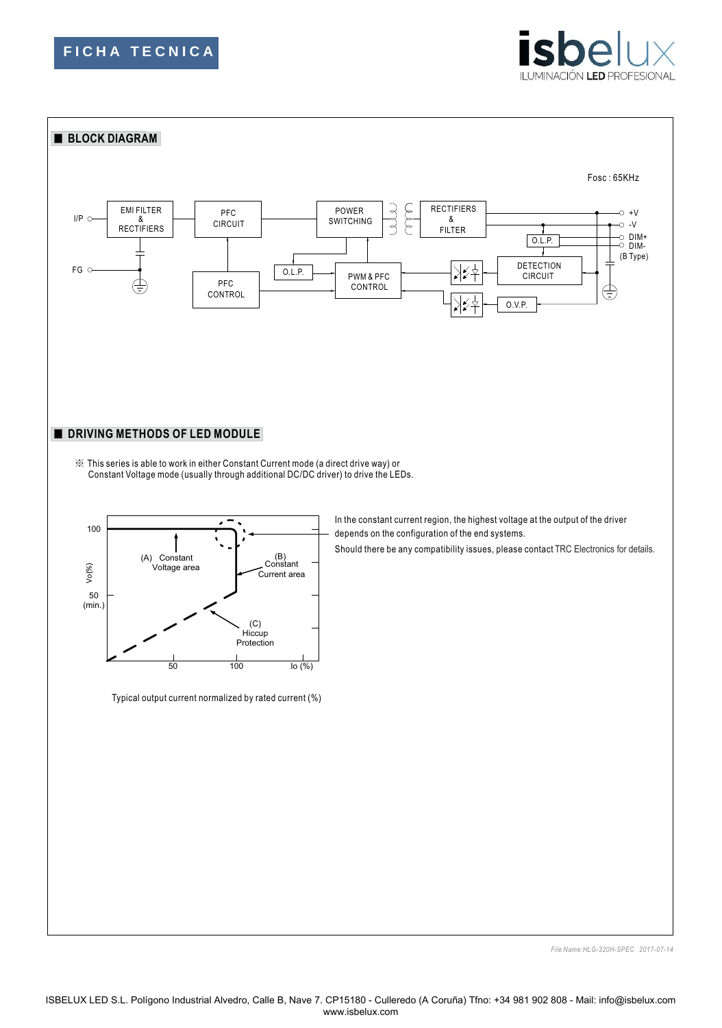







Typical output current normalized by rated current (%)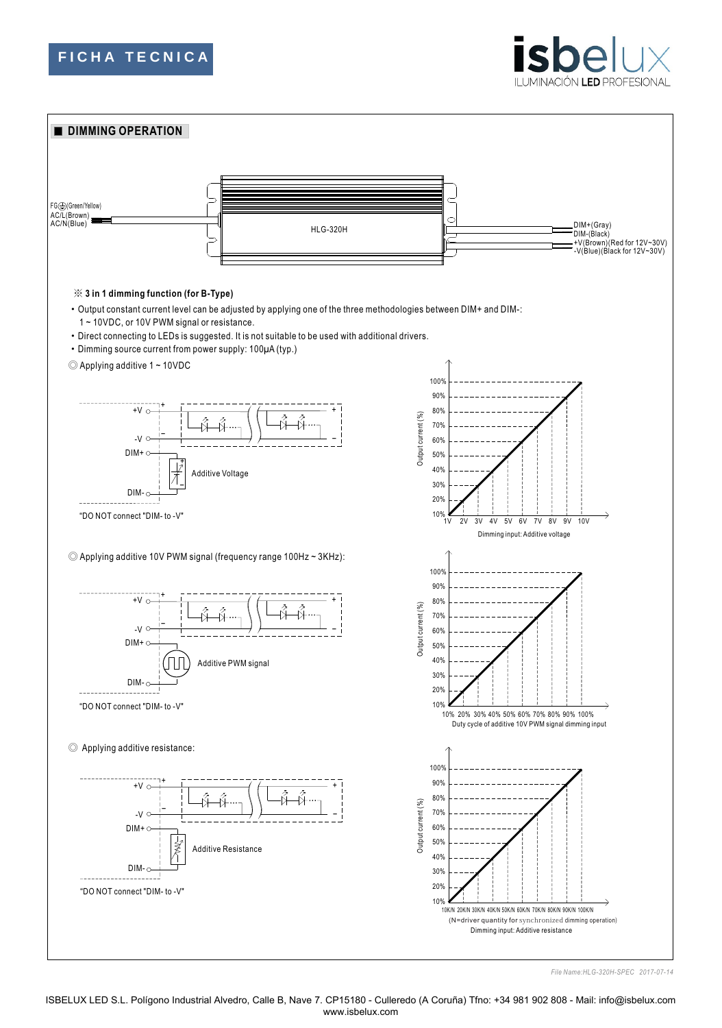





ISBELUX LED S.L. Polígono Industrial Alvedro, Calle B, Nave 7. CP15180 - Culleredo (A Coruña) Tfno: +34 981 902 808 - Mail: info@isbelux.com www.isbelux.com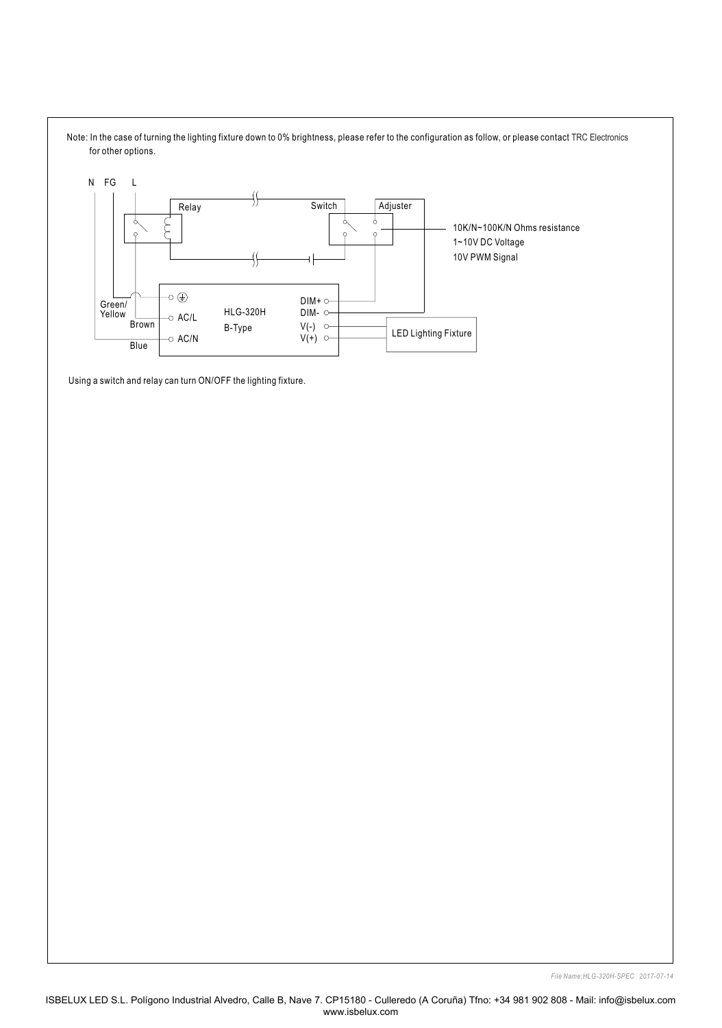

Using a switch and relay can turn ON/OFF the lighting fixture.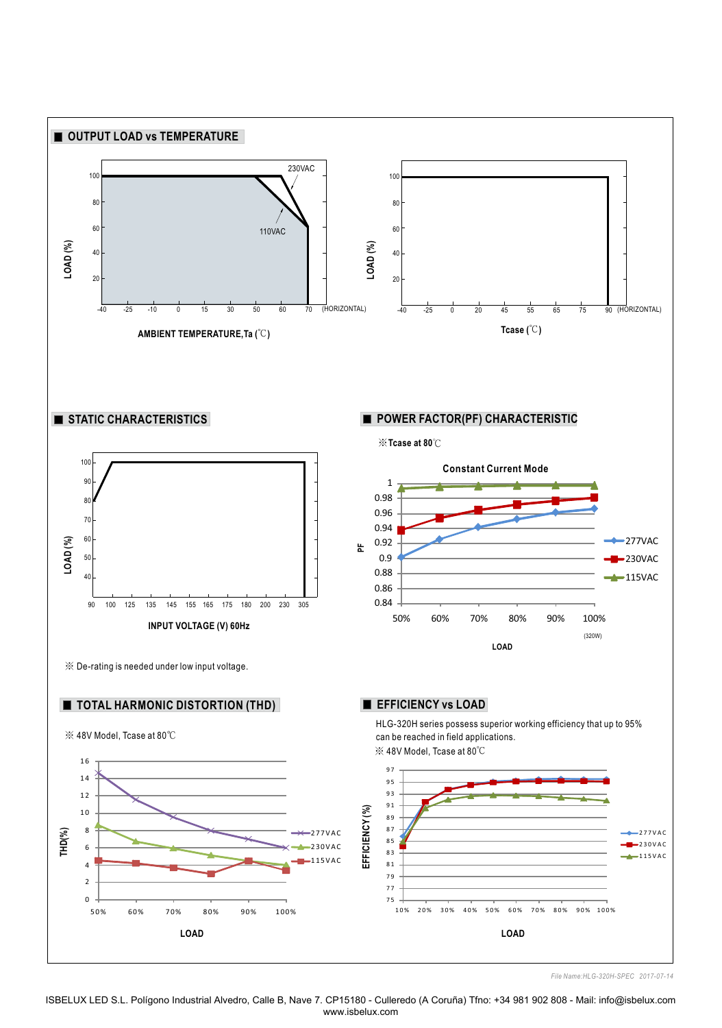

ISBELUX LED S.L. Polígono Industrial Alvedro, Calle B, Nave 7. CP15180 - Culleredo (A Coruña) Tfno: +34 981 902 808 - Mail: info@isbelux.com www.isbelux.com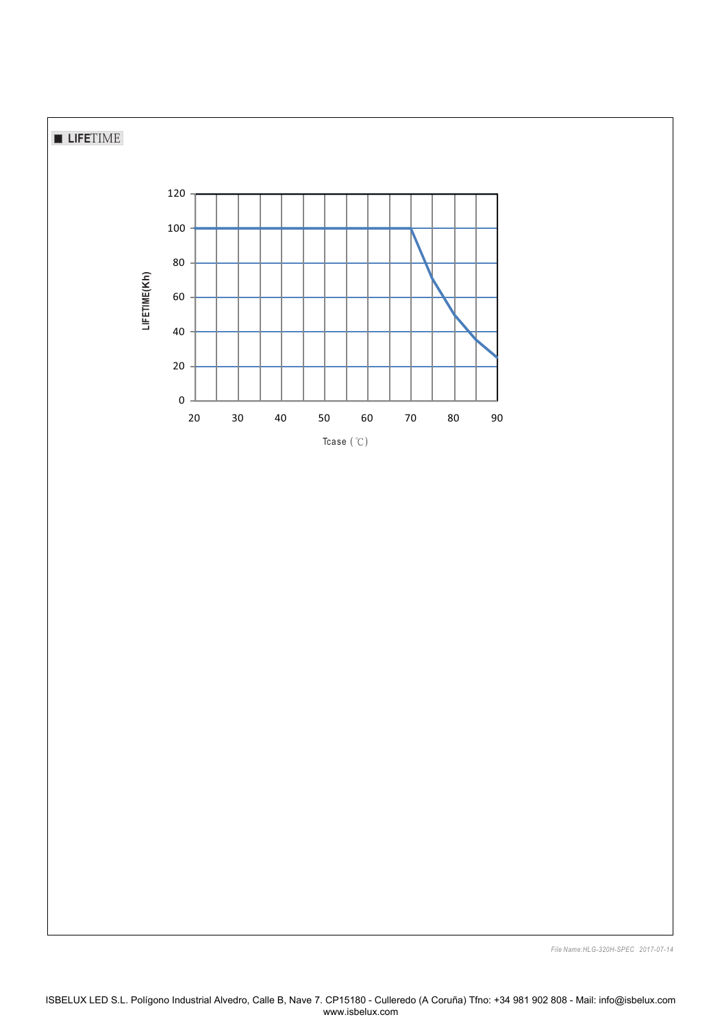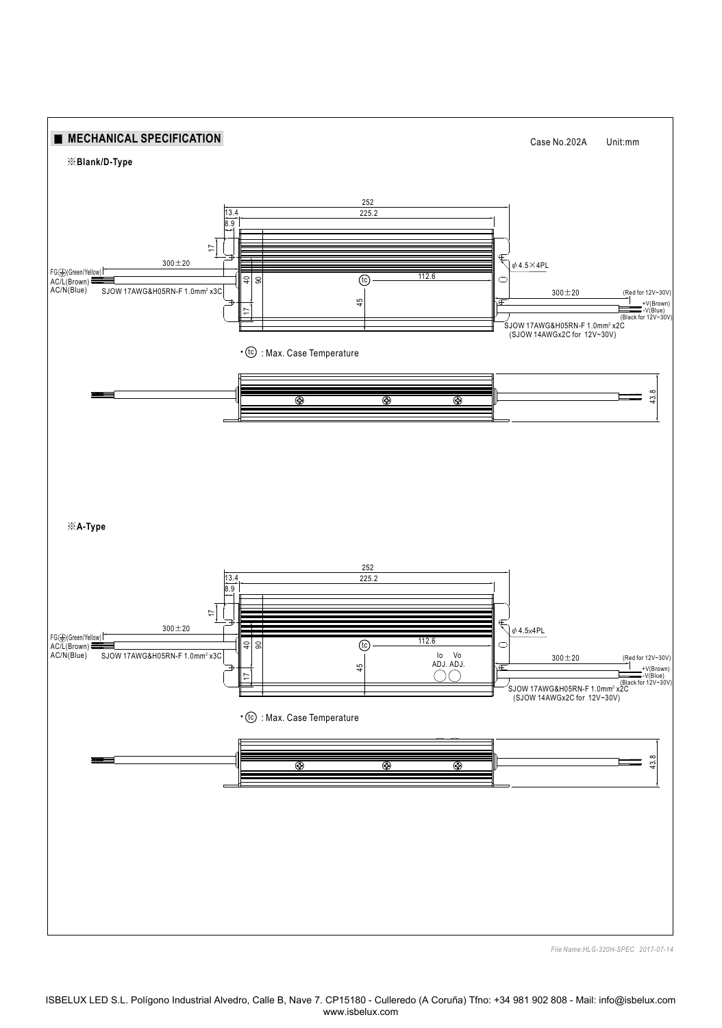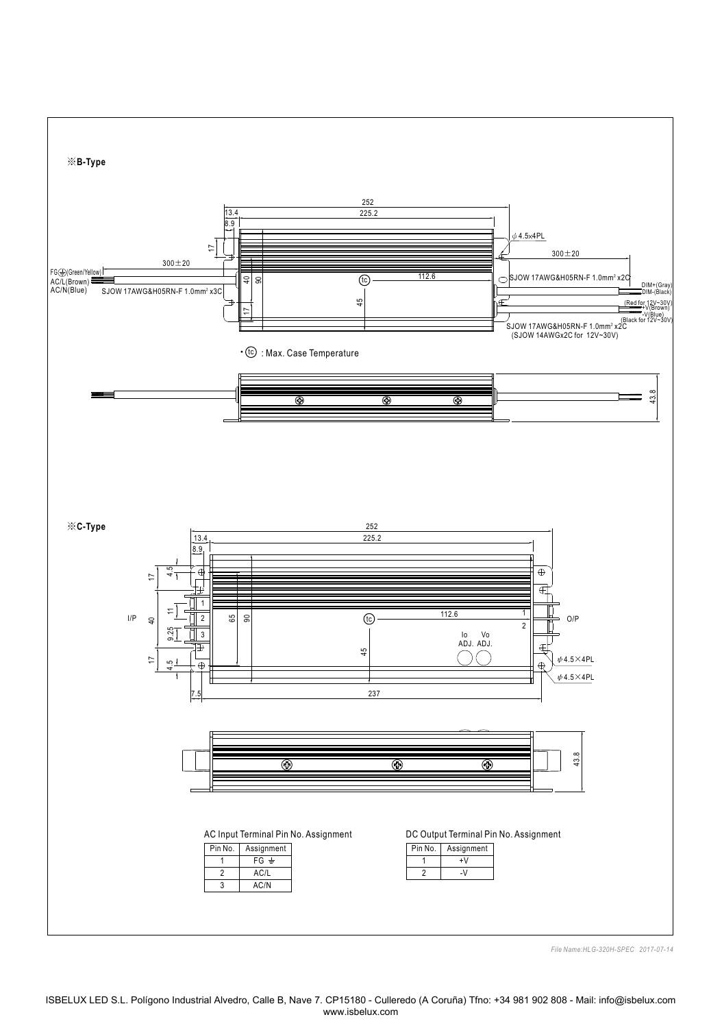